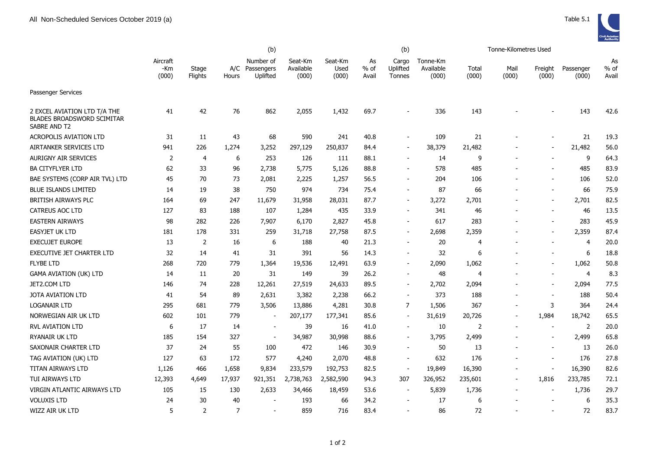

|                                                                            |                          | (b)              |                |                                         |                               |                          |                       | Tonne-Kilometres Used       |                                |                |               |                          |                    |                     |
|----------------------------------------------------------------------------|--------------------------|------------------|----------------|-----------------------------------------|-------------------------------|--------------------------|-----------------------|-----------------------------|--------------------------------|----------------|---------------|--------------------------|--------------------|---------------------|
|                                                                            | Aircraft<br>-Km<br>(000) | Stage<br>Flights | Hours          | Number of<br>A/C Passengers<br>Uplifted | Seat-Km<br>Available<br>(000) | Seat-Km<br>Used<br>(000) | As<br>$%$ of<br>Avail | Cargo<br>Uplifted<br>Tonnes | Tonne-Km<br>Available<br>(000) | Total<br>(000) | Mail<br>(000) | Freight<br>(000)         | Passenger<br>(000) | As<br>% of<br>Avail |
| <b>Passenger Services</b>                                                  |                          |                  |                |                                         |                               |                          |                       |                             |                                |                |               |                          |                    |                     |
| 2 EXCEL AVIATION LTD T/A THE<br>BLADES BROADSWORD SCIMITAR<br>SABRE AND T2 | 41                       | 42               | 76             | 862                                     | 2,055                         | 1,432                    | 69.7                  |                             | 336                            | 143            |               |                          | 143                | 42.6                |
| <b>ACROPOLIS AVIATION LTD</b>                                              | 31                       | 11               | 43             | 68                                      | 590                           | 241                      | 40.8                  |                             | 109                            | 21             |               |                          | 21                 | 19.3                |
| AIRTANKER SERVICES LTD                                                     | 941                      | 226              | 1,274          | 3,252                                   | 297,129                       | 250,837                  | 84.4                  | $\overline{\phantom{a}}$    | 38,379                         | 21,482         |               | $\overline{\phantom{a}}$ | 21,482             | 56.0                |
| <b>AURIGNY AIR SERVICES</b>                                                | $\overline{2}$           | 4                | 6              | 253                                     | 126                           | 111                      | 88.1                  | $\overline{\phantom{a}}$    | 14                             | 9              |               |                          | 9                  | 64.3                |
| <b>BA CITYFLYER LTD</b>                                                    | 62                       | 33               | 96             | 2,738                                   | 5,775                         | 5,126                    | 88.8                  |                             | 578                            | 485            |               |                          | 485                | 83.9                |
| BAE SYSTEMS (CORP AIR TVL) LTD                                             | 45                       | 70               | 73             | 2,081                                   | 2,225                         | 1,257                    | 56.5                  | $\blacksquare$              | 204                            | 106            |               |                          | 106                | 52.0                |
| <b>BLUE ISLANDS LIMITED</b>                                                | 14                       | 19               | 38             | 750                                     | 974                           | 734                      | 75.4                  | $\blacksquare$              | 87                             | 66             |               |                          | 66                 | 75.9                |
| <b>BRITISH AIRWAYS PLC</b>                                                 | 164                      | 69               | 247            | 11,679                                  | 31,958                        | 28,031                   | 87.7                  | $\blacksquare$              | 3,272                          | 2,701          |               |                          | 2,701              | 82.5                |
| <b>CATREUS AOC LTD</b>                                                     | 127                      | 83               | 188            | 107                                     | 1,284                         | 435                      | 33.9                  | $\blacksquare$              | 341                            | 46             |               |                          | 46                 | 13.5                |
| <b>EASTERN AIRWAYS</b>                                                     | 98                       | 282              | 226            | 7,907                                   | 6,170                         | 2,827                    | 45.8                  |                             | 617                            | 283            |               |                          | 283                | 45.9                |
| <b>EASYJET UK LTD</b>                                                      | 181                      | 178              | 331            | 259                                     | 31,718                        | 27,758                   | 87.5                  | $\overline{\phantom{a}}$    | 2,698                          | 2,359          |               | $\overline{\phantom{a}}$ | 2,359              | 87.4                |
| <b>EXECUJET EUROPE</b>                                                     | 13                       | $\overline{2}$   | 16             | 6                                       | 188                           | 40                       | 21.3                  | $\blacksquare$              | 20                             | $\overline{4}$ |               |                          | $\overline{4}$     | 20.0                |
| EXECUTIVE JET CHARTER LTD                                                  | 32                       | 14               | 41             | 31                                      | 391                           | 56                       | 14.3                  |                             | 32                             | 6              |               |                          | 6                  | 18.8                |
| <b>FLYBE LTD</b>                                                           | 268                      | 720              | 779            | 1,364                                   | 19,536                        | 12,491                   | 63.9                  |                             | 2,090                          | 1,062          |               |                          | 1,062              | 50.8                |
| <b>GAMA AVIATION (UK) LTD</b>                                              | 14                       | 11               | 20             | 31                                      | 149                           | 39                       | 26.2                  | $\blacksquare$              | 48                             | $\overline{4}$ |               |                          | $\overline{4}$     | 8.3                 |
| JET2.COM LTD                                                               | 146                      | 74               | 228            | 12,261                                  | 27,519                        | 24,633                   | 89.5                  | $\blacksquare$              | 2,702                          | 2,094          |               |                          | 2,094              | 77.5                |
| <b>JOTA AVIATION LTD</b>                                                   | 41                       | 54               | 89             | 2,631                                   | 3,382                         | 2,238                    | 66.2                  | $\blacksquare$              | 373                            | 188            |               | $\overline{\phantom{a}}$ | 188                | 50.4                |
| <b>LOGANAIR LTD</b>                                                        | 295                      | 681              | 779            | 3,506                                   | 13,886                        | 4,281                    | 30.8                  | 7                           | 1,506                          | 367            |               | 3                        | 364                | 24.4                |
| NORWEGIAN AIR UK LTD                                                       | 602                      | 101              | 779            | $\sim$                                  | 207,177                       | 177,341                  | 85.6                  | $\overline{\phantom{a}}$    | 31,619                         | 20,726         |               | 1,984                    | 18,742             | 65.5                |
| RVL AVIATION LTD                                                           | 6                        | 17               | 14             | $\overline{\phantom{a}}$                | 39                            | 16                       | 41.0                  | $\overline{\phantom{a}}$    | 10                             | $\overline{2}$ |               |                          | $\overline{2}$     | 20.0                |
| RYANAIR UK LTD                                                             | 185                      | 154              | 327            | $\blacksquare$                          | 34,987                        | 30,998                   | 88.6                  | $\overline{\phantom{a}}$    | 3,795                          | 2,499          |               | $\overline{\phantom{a}}$ | 2,499              | 65.8                |
| SAXONAIR CHARTER LTD                                                       | 37                       | 24               | 55             | 100                                     | 472                           | 146                      | 30.9                  |                             | 50                             | 13             |               |                          | 13                 | 26.0                |
| TAG AVIATION (UK) LTD                                                      | 127                      | 63               | 172            | 577                                     | 4,240                         | 2,070                    | 48.8                  | $\sim$                      | 632                            | 176            |               | $\overline{\phantom{a}}$ | 176                | 27.8                |
| TITAN AIRWAYS LTD                                                          | 1,126                    | 466              | 1,658          | 9,834                                   | 233,579                       | 192,753                  | 82.5                  |                             | 19,849                         | 16,390         |               |                          | 16,390             | 82.6                |
| TUI AIRWAYS LTD                                                            | 12,393                   | 4,649            | 17,937         | 921,351                                 | 2,738,763                     | 2,582,590                | 94.3                  | 307                         | 326,952                        | 235,601        |               | 1,816                    | 233,785            | 72.1                |
| VIRGIN ATLANTIC AIRWAYS LTD                                                | 105                      | 15               | 130            | 2,633                                   | 34,466                        | 18,459                   | 53.6                  |                             | 5,839                          | 1,736          |               |                          | 1,736              | 29.7                |
| <b>VOLUXIS LTD</b>                                                         | 24                       | 30               | 40             |                                         | 193                           | 66                       | 34.2                  | $\overline{\phantom{a}}$    | 17                             | 6              |               |                          | 6                  | 35.3                |
| WIZZ AIR UK LTD                                                            | 5                        | $\overline{2}$   | $\overline{7}$ | $\blacksquare$                          | 859                           | 716                      | 83.4                  | $\overline{\phantom{a}}$    | 86                             | 72             |               | $\overline{\phantom{a}}$ | 72                 | 83.7                |